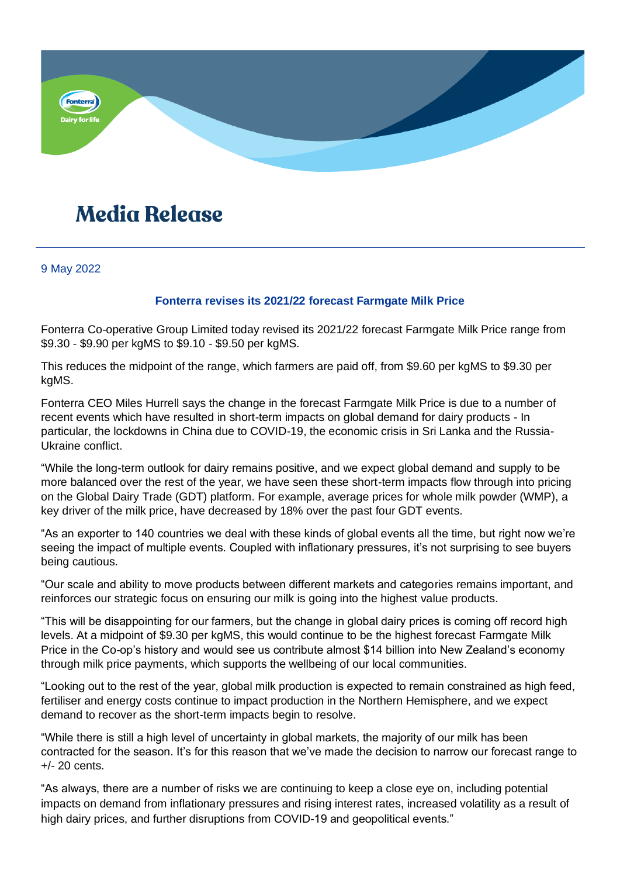

## **Media Release**

9 May 2022

## **Fonterra revises its 2021/22 forecast Farmgate Milk Price**

Fonterra Co-operative Group Limited today revised its 2021/22 forecast Farmgate Milk Price range from \$9.30 - \$9.90 per kgMS to \$9.10 - \$9.50 per kgMS.

This reduces the midpoint of the range, which farmers are paid off, from \$9.60 per kgMS to \$9.30 per kgMS.

Fonterra CEO Miles Hurrell says the change in the forecast Farmgate Milk Price is due to a number of recent events which have resulted in short-term impacts on global demand for dairy products - In particular, the lockdowns in China due to COVID-19, the economic crisis in Sri Lanka and the Russia-Ukraine conflict.

"While the long-term outlook for dairy remains positive, and we expect global demand and supply to be more balanced over the rest of the year, we have seen these short-term impacts flow through into pricing on the Global Dairy Trade (GDT) platform. For example, average prices for whole milk powder (WMP), a key driver of the milk price, have decreased by 18% over the past four GDT events.

"As an exporter to 140 countries we deal with these kinds of global events all the time, but right now we're seeing the impact of multiple events. Coupled with inflationary pressures, it's not surprising to see buyers being cautious.

"Our scale and ability to move products between different markets and categories remains important, and reinforces our strategic focus on ensuring our milk is going into the highest value products.

"This will be disappointing for our farmers, but the change in global dairy prices is coming off record high levels. At a midpoint of \$9.30 per kgMS, this would continue to be the highest forecast Farmgate Milk Price in the Co-op's history and would see us contribute almost \$14 billion into New Zealand's economy through milk price payments, which supports the wellbeing of our local communities.

"Looking out to the rest of the year, global milk production is expected to remain constrained as high feed, fertiliser and energy costs continue to impact production in the Northern Hemisphere, and we expect demand to recover as the short-term impacts begin to resolve.

"While there is still a high level of uncertainty in global markets, the majority of our milk has been contracted for the season. It's for this reason that we've made the decision to narrow our forecast range to +/- 20 cents.

"As always, there are a number of risks we are continuing to keep a close eye on, including potential impacts on demand from inflationary pressures and rising interest rates, increased volatility as a result of high dairy prices, and further disruptions from COVID-19 and geopolitical events."